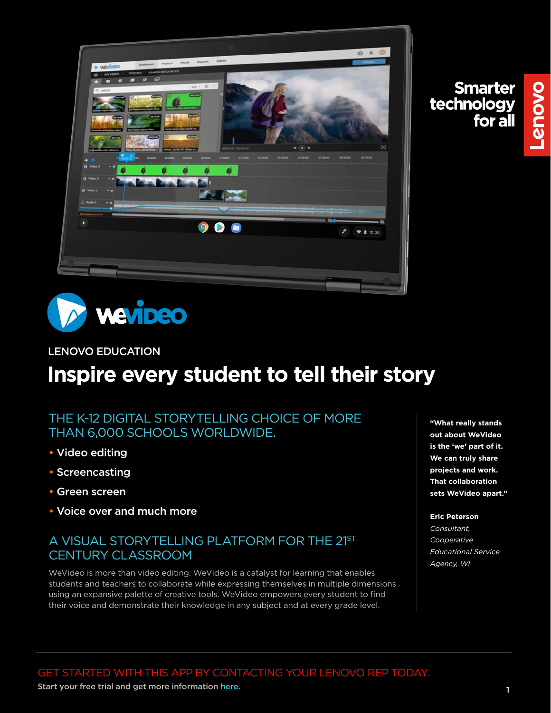

Lenovo



#### LENOVO EDUCATION

# **Inspire every student to tell their story**

## THE K-12 DIGITAL STORYTELLING CHOICE OF MORE THAN 6,000 SCHOOLS WORLDWIDE.

- Video editing
- Screencasting
- Green screen
- Voice over and much more

## A VISUAL STORYTELLING PLATFORM FOR THE 21ST CENTURY CLASSROOM

WeVideo is more than video editing. WeVideo is a catalyst for learning that enables students and teachers to collaborate while expressing themselves in multiple dimensions using an expansive palette of creative tools. WeVideo empowers every student to find their voice and demonstrate their knowledge in any subject and at every grade level.

**"What really stands out about WeVideo is the 'we' part of it. We can truly share projects and work. That collaboration sets WeVideo apart."**

#### **Eric Peterson**

*Consultant, Cooperative Educational Service Agency, WI*

Start your free trial and get more information [here.](https://www.wevideo.com/signup?p=trial&tier=education&instanceName=WeVideo)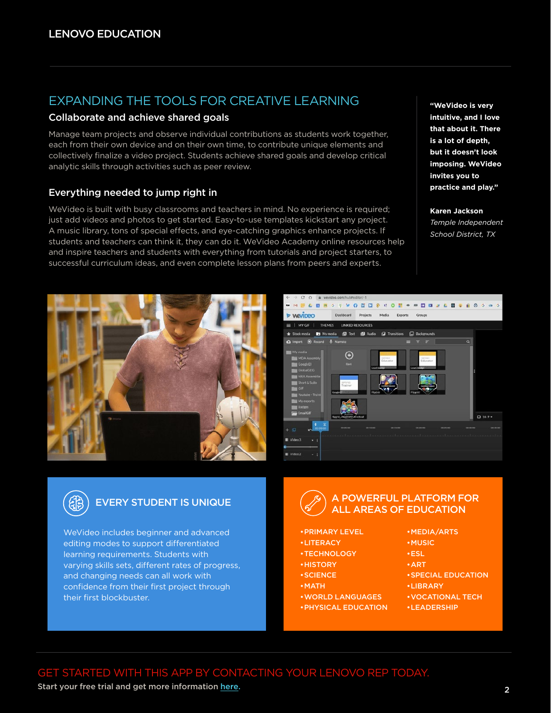## EXPANDING THE TOOLS FOR CREATIVE LEARNING

#### Collaborate and achieve shared goals

Manage team projects and observe individual contributions as students work together, each from their own device and on their own time, to contribute unique elements and collectively finalize a video project. Students achieve shared goals and develop critical analytic skills through activities such as peer review.

#### Everything needed to jump right in

WeVideo is built with busy classrooms and teachers in mind. No experience is required; just add videos and photos to get started. Easy-to-use templates kickstart any project. A music library, tons of special effects, and eye-catching graphics enhance projects. If students and teachers can think it, they can do it. WeVideo Academy online resources help and inspire teachers and students with everything from tutorials and project starters, to successful curriculum ideas, and even complete lesson plans from peers and experts.







WeVideo includes beginner and advanced editing modes to support differentiated learning requirements. Students with varying skills sets, different rates of progress, and changing needs can all work with confidence from their first project through their first blockbuster.

## A POWERFUL PLATFORM FOR EVERY STUDENT IS UNIQUE  $\left(\frac{1}{2}\right)$  A POWERFUL PLATFORM FOR ALL AREAS OF EDUCATION

- •PRIMARY LEVEL
- •LITERACY
- •TECHNOLOGY
- •HISTORY
- •SCIENCE
- •MATH
- •WORLD LANGUAGES
- •PHYSICAL EDUCATION

•MEDIA/ARTS

- •MUSIC
- •ESL
	- •ART
	- •SPECIAL EDUCATION
	- •LIBRARY
	- •VOCATIONAL TECH
	- •LEADERSHIP

GET STARTED WITH THIS APP BY CONTACTING YOUR LENOVO REP TODAY.

Start your free trial and get more information [here.](https://www.wevideo.com/signup?p=trial&tier=education&instanceName=WeVideo)

**"WeVideo is very intuitive, and I love that about it. There is a lot of depth, but it doesn't look imposing. WeVideo invites you to practice and play."**

**Karen Jackson** 

*Temple Independent School District, TX*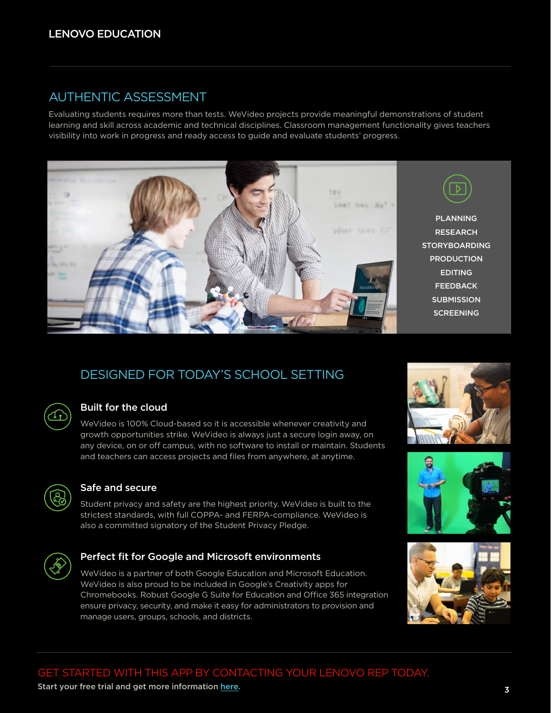## AUTHENTIC ASSESSMENT

Evaluating students requires more than tests. WeVideo projects provide meaningful demonstrations of student learning and skill across academic and technical disciplines. Classroom management functionality gives teachers visibility into work in progress and ready access to guide and evaluate students' progress.



## DESIGNED FOR TODAY'S SCHOOL SETTING



#### Built for the cloud

WeVideo is 100% Cloud-based so it is accessible whenever creativity and growth opportunities strike. WeVideo is always just a secure login away, on any device, on or off campus, with no software to install or maintain. Students and teachers can access projects and files from anywhere, at anytime.



#### Safe and secure

Student privacy and safety are the highest priority. WeVideo is built to the strictest standards, with full COPPA- and FERPA-compliance. WeVideo is also a committed signatory of the Student Privacy Pledge.



#### Perfect fit for Google and Microsoft environments

WeVideo is a partner of both Google Education and Microsoft Education. WeVideo is also proud to be included in Google's Creativity apps for Chromebooks. Robust Google G Suite for Education and Office 365 integration ensure privacy, security, and make it easy for administrators to provision and manage users, groups, schools, and districts.







3